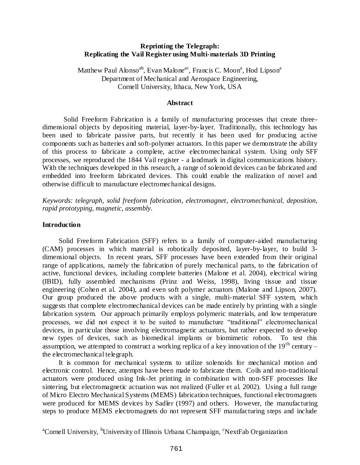### **Reprinting the Telegraph: Replicating the Vail Register using Multi-materials 3D Printing**

Matthew Paul Alonso<sup>ab</sup>, Evan Malone<sup>ac</sup>, Francis C. Moon<sup>a</sup>, Hod Lipson<sup>a</sup> Department of Mechanical and Aerospace Engineering, Cornell University, Ithaca, New York, USA

### **Abstract**

Solid Freeform Fabrication is a family of manufacturing processes that create threedimensional objects by depositing material, layer-by-layer. Traditionally, this technology has been used to fabricate passive parts, but recently it has been used for producing active components such as batteries and soft-polymer actuators. In this paper we demonstrate the ability of this process to fabricate a complete, active electromechanical system. Using only SFF processes, we reproduced the 1844 Vail register - a landmark in digital communications history. With the techniques developed in this research, a range of solenoid devices can be fabricated and embedded into freeform fabricated devices. This could enable the realization of novel and otherwise difficult to manufacture electromechanical designs.

*Keywords: telegraph, solid freeform fabrication, electromagnet, electromechanical, deposition, rapid prototyping, magnetic, assembly.*

### **Introduction**

Solid Freeform Fabrication (SFF) refers to a family of computer-aided manufacturing (CAM) processes in which material is robotically deposited, layer-by-layer, to build 3 dimensional objects. In recent years, SFF processes have been extended from their original range of applications, namely the fabrication of purely mechanical parts, to the fabrication of active, functional devices, including complete batteries (Malone et al. 2004), electrical wiring (IBID), fully assembled mechanisms (Prinz and Weiss, 1998), living tissue and tissue engineering (Cohen et al. 2004), and even soft polymer actuators (Malone and Lipson, 2007). Our group produced the above products with a single, multi-material SFF system, which suggests that complete electromechanical devices can be made entirely by printing with a single fabrication system. Our approach primarily employs polymeric materials, and low temperature processes, we did not expect it to be suited to manufacture "traditional" electromechanical devices, in particular those involving electromagnetic actuators, but rather expected to develop new types of devices, such as biomedical implants or biomimetic robots. To test this assumption, we attempted to construct a working replica of a key innovation of the  $19<sup>th</sup>$  century – the electromechanical telegraph.

It is common for mechanical systems to utilize solenoids for mechanical motion and electronic control. Hence, attempts have been made to fabricate them. Coils and non-traditional actuators were produced using Ink-Jet printing in combination with non-SFF processes like sintering, but electromagnetic actuation was not realized (Fuller et al. 2002). Using a full range of Micro Electro Mechanical Systems (MEMS) fabrication techniques, functional electromagnets were produced for MEMS devices by Sadler (1997) and others. However, the manufacturing steps to produce MEMS electromagnets do not represent SFF manufacturing steps and include

<sup>a</sup>Cornell University, <sup>b</sup>University of Illinois Urbana Champaign, <sup>c</sup>NextFab Organization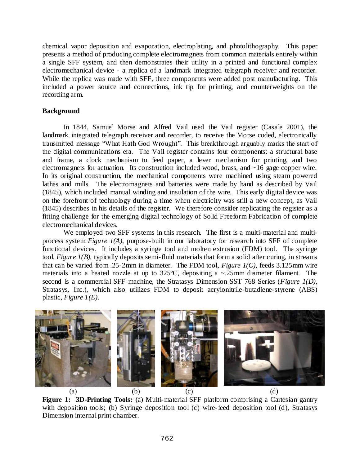chemical vapor deposition and evaporation, electroplating, and photolithography. This paper presents a method of producing complete electromagnets from common materials entirely within a single SFF system, and then demonstrates their utility in a printed and functional complex electromechanical device - a replica of a landmark integrated telegraph receiver and recorder. While the replica was made with SFF, three components were added post manufacturing. This included a power source and connections, ink tip for printing, and counterweights on the recording arm.

## **Background**

In 1844, Samuel Morse and Alfred Vail used the Vail register (Casale 2001), the landmark integrated telegraph receiver and recorder, to receive the Morse coded, electronically transmitted message "What Hath God Wrought". This breakthrough arguably marks the start of the digital communications era. The Vail register contains four components: a structural base and frame, a clock mechanism to feed paper, a lever mechanism for printing, and two electromagnets for actuation. Its construction included wood, brass, and  $\sim$ 16 gage copper wire. In its original construction, the mechanical components were machined using steam powered lathes and mills. The electromagnets and batteries were made by hand as described by Vail (1845), which included manual winding and insulation of the wire. This early digital device was on the forefront of technology during a time when electricity was still a new concept, as Vail (1845) describes in his details of the register. We therefore consider replicating the register as a fitting challenge for the emerging digital technology of Solid Freeform Fabrication of complete electromechanical devices.

We employed two SFF systems in this research. The first is a multi-material and multiprocess system *Figure 1(A)*, purpose-built in our laboratory for research into SFF of complete functional devices. It includes a syringe tool and molten extrusion (FDM) tool. The syringe tool, *Figure 1(B),* typically deposits semi-fluid materials that form a solid after curing, in streams that can be varied from .25-2mm in diameter. The FDM tool, *Figure 1(C),* feeds 3.125mm wire materials into a heated nozzle at up to 325ºC, depositing a ~.25mm diameter filament. The second is a commercial SFF machine, the Stratasys Dimension SST 768 Series (*Figure 1(D),*  Stratasys, Inc.), which also utilizes FDM to deposit acrylonitrile-butadiene-styrene (ABS) plastic, *Figure 1(E)*.



**Figure 1: 3D-Printing Tools:** (a) Multi-material SFF platform comprising a Cartesian gantry with deposition tools; (b) Syringe deposition tool (c) wire-feed deposition tool (d), Stratasys Dimension internal print chamber.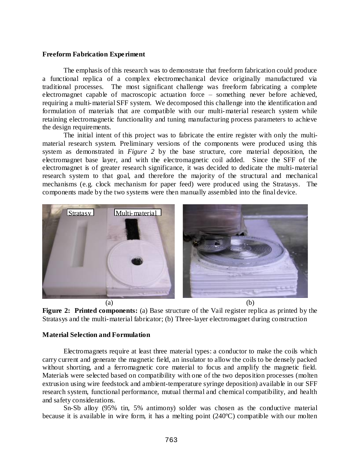### **Freeform Fabrication Experiment**

The emphasis of this research was to demonstrate that freeform fabrication could produce a functional replica of a complex electromechanical device originally manufactured via traditional processes. The most significant challenge was freeform fabricating a complete electromagnet capable of macroscopic actuation force – something never before achieved, requiring a multi-material SFF system. We decomposed this challenge into the identification and formulation of materials that are compatible with our multi-material research system while retaining electromagnetic functionality and tuning manufacturing process parameters to achieve the design requirements.

The initial intent of this project was to fabricate the entire register with only the multimaterial research system. Preliminary versions of the components were produced using this system as demonstrated in *Figure 2* by the base structure, core material deposition, the electromagnet base layer, and with the electromagnetic coil added. Since the SFF of the electromagnet is of greater research significance, it was decided to dedicate the multi-material research system to that goal, and therefore the majority of the structural and mechanical mechanisms (e.g. clock mechanism for paper feed) were produced using the Stratasys. The components made by the two systems were then manually assembled into the final device.



**Figure 2: Printed components:** (a) Base structure of the Vail register replica as printed by the Stratasys and the multi-material fabricator; (b) Three-layer electromagnet during construction

### **Material Selection and Formulation**

Electromagnets require at least three material types: a conductor to make the coils which carry current and generate the magnetic field, an insulator to allow the coils to be densely packed without shorting, and a ferromagnetic core material to focus and amplify the magnetic field. Materials were selected based on compatibility with one of the two deposition processes (molten extrusion using wire feedstock and ambient-temperature syringe deposition) available in our SFF research system, functional performance, mutual thermal and chemical compatibility, and health and safety considerations.

Sn-Sb alloy (95% tin, 5% antimony) solder was chosen as the conductive material because it is available in wire form, it has a melting point (240ºC) compatible with our molten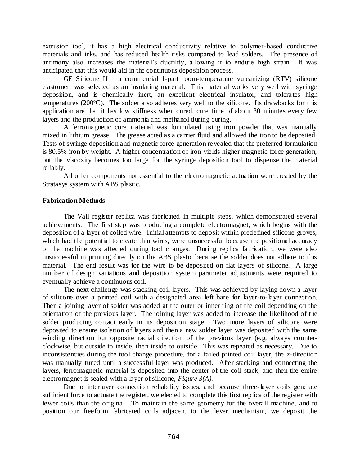extrusion tool, it has a high electrical conductivity relative to polymer-based conductive materials and inks, and has reduced health risks compared to lead solders. The presence of antimony also increases the material's ductility, allowing it to endure high strain. It was anticipated that this would aid in the continuous deposition process.

GE Silicone II – a commercial 1-part room-temperature vulcanizing  $(RTV)$  silicone elastomer, was selected as an insulating material. This material works very well with syringe deposition, and is chemically inert, an excellent electrical insulator, and tolerates high temperatures (200ºC). The solder also adheres very well to the silicone. Its drawbacks for this application are that it has low stiffness when cured, cure time of about 30 minutes every few layers and the production of ammonia and methanol during curing.

A ferromagnetic core material was formulated using iron powder that was manually mixed in lithium grease. The grease acted as a carrier fluid and allowed the iron to be deposited. Tests of syringe deposition and magnetic force generation revealed that the preferred formulation is 80.5% iron by weight. A higher concentration of iron yields higher magnetic force generation, but the viscosity becomes too large for the syringe deposition tool to dispense the material reliably.

All other components not essential to the electromagnetic actuation were created by the Stratasys system with ABS plastic.

### **Fabrication Methods**

The Vail register replica was fabricated in multiple steps, which demonstrated several achievements. The first step was producing a complete electromagnet, which begins with the deposition of a layer of coiled wire. Initial attempts to deposit within predefined silicone groves, which had the potential to create thin wires, were unsuccessful because the positional accuracy of the machine was affected during tool changes. During replica fabrication, we were also unsuccessful in printing directly on the ABS plastic because the solder does not adhere to this material. The end result was for the wire to be deposited on flat layers of silicone. A large number of design variations and deposition system parameter adjustments were required to eventually achieve a continuous coil.

The next challenge was stacking coil layers. This was achieved by laying down a layer of silicone over a printed coil with a designated area left bare for layer-to-layer connection. Then a joining layer of solder was added at the outer or inner ring of the coil depending on the orientation of the previous layer. The joining layer was added to increase the likelihood of the solder producing contact early in its deposition stage. Two more layers of silicone were deposited to ensure isolation of layers and then a new solder layer was deposited with the same winding direction but opposite radial direction of the previous layer (e.g. always counterclockwise, but outside to inside, then inside to outside. This was repeated as necessary. Due to inconsistencies during the tool change procedure, for a failed printed coil layer, the z-direction was manually tuned until a successful layer was produced. After stacking and connecting the layers, ferromagnetic material is deposited into the center of the coil stack, and then the entire electromagnet is sealed with a layer of silicone, *Figure 3(A).*

Due to interlayer connection reliability issues, and because three-layer coils generate sufficient force to actuate the register, we elected to complete this first replica of the register with fewer coils than the original. To maintain the same geometry for the overall machine, and to position our freeform fabricated coils adjacent to the lever mechanism, we deposit the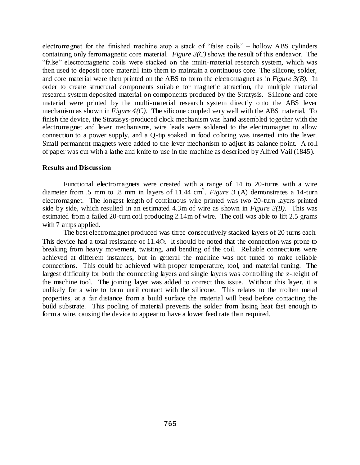electromagnet for the finished machine atop a stack of "false coils" – hollow ABS cylinders containing only ferromagnetic core material. *Figure 3(C)* shows the result of this endeavor. The "false" electromagnetic coils were stacked on the multi-material research system, which was then used to deposit core material into them to maintain a continuous core. The silicone, solder, and core material were then printed on the ABS to form the electromagnet as in *Figure 3(B)*. In order to create structural components suitable for magnetic attraction, the multiple material research system deposited material on components produced by the Stratysis. Silicone and core material were printed by the multi-material research system directly onto the ABS lever mechanism as shown in *Figure 4(C)*. The silicone coupled very well with the ABS material. To finish the device, the Stratasys-produced clock mechanism was hand assembled together with the electromagnet and lever mechanisms, wire leads were soldered to the electromagnet to allow connection to a power supply, and a Q-tip soaked in food coloring was inserted into the lever. Small permanent magnets were added to the lever mechanism to adjust its balance point. A roll of paper was cut with a lathe and knife to use in the machine as described by Alfred Vail (1845).

#### **Results and Discussion**

Functional electromagnets were created with a range of 14 to 20-turns with a wire diameter from .5 mm to .8 mm in layers of 11.44 cm<sup>2</sup>. *Figure 3* (A) demonstrates a 14-turn electromagnet. The longest length of continuous wire printed was two 20-turn layers printed side by side, which resulted in an estimated 4.3m of wire as shown in *Figure 3(B)*. This was estimated from a failed 20-turn coil producing 2.14m of wire. The coil was able to lift 2.5 grams with 7 amps applied.

The best electromagnet produced was three consecutively stacked layers of 20 turns each. This device had a total resistance of  $11.4\Omega$ . It should be noted that the connection was prone to breaking from heavy movement, twisting, and bending of the coil. Reliable connections were achieved at different instances, but in general the machine was not tuned to make reliable connections. This could be achieved with proper temperature, tool, and material tuning. The largest difficulty for both the connecting layers and single layers was controlling the z-height of the machine tool. The joining layer was added to correct this issue. Without this layer, it is unlikely for a wire to form until contact with the silicone. This relates to the molten metal properties, at a far distance from a build surface the material will bead before contacting the build substrate. This pooling of material prevents the solder from losing heat fast enough to form a wire, causing the device to appear to have a lower feed rate than required.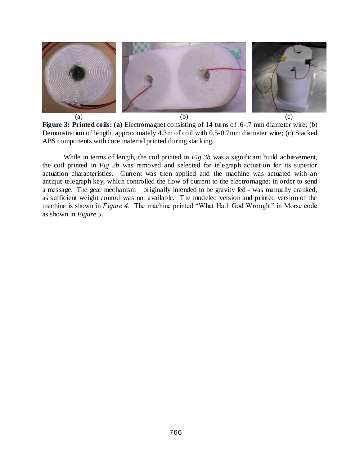

**Figure 3: Printed coils: (a)** Electromagnet consisting of 14 turns of .6-.7 mm diameter wire; (b) Demonstration of length, approximately 4.3m of coil with 0.5-0.7mm diameter wire; (c) Stacked ABS components with core material printed during stacking.

While in terms of length, the coil printed in *Fig 3b* was a significant build achievement, the coil printed in *Fig 2b* was removed and selected for telegraph actuation for its superior actuation characteristics. Current was then applied and the machine was actuated with an antique telegraph key, which controlled the flow of current to the electromagnet in order to send a message. The gear mechanism – originally intended to be gravity fed - was manually cranked, as sufficient weight control was not available. The modeled version and printed version of the machine is shown in *Figure 4*. The machine printed "What Hath God Wrought" in Morse code as shown in *Figure 5*.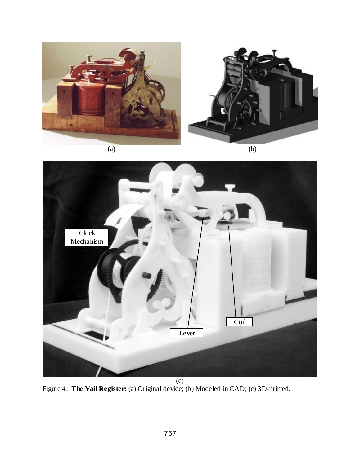





Figure 4: **The Vail Register:** (a) Original device; (b) Modeled in CAD; (c) 3D-printed.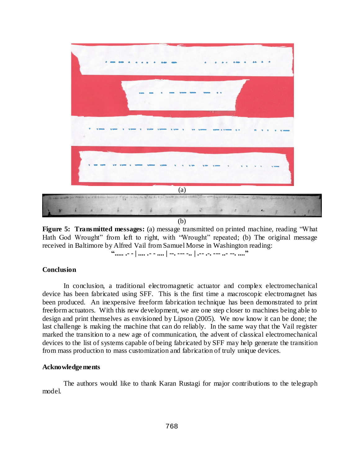

**Figure 5: Transmitted messages:** (a) message transmitted on printed machine, reading "What Hath God Wrought" from left to right, with "Wrought" repeated; (b) The original message received in Baltimore by Alfred Vail from Samuel Morse in Washington reading:

# **"..... .- - | .... .- - .... | --. --- -.. | .-- .-. --- ..- --. ...."**

#### **Conclusion**

In conclusion, a traditional electromagnetic actuator and complex electromechanical device has been fabricated using SFF. This is the first time a macroscopic electromagnet has been produced. An inexpensive freeform fabrication technique has been demonstrated to print freeform actuators. With this new development, we are one step closer to machines being able to design and print themselves as envisioned by Lipson (2005). We now know it can be done; the last challenge is making the machine that can do reliably. In the same way that the Vail register marked the transition to a new age of communication, the advent of classical electromechanical devices to the list of systems capable of being fabricated by SFF may help generate the transition from mass production to mass customization and fabrication of truly unique devices.

#### **Acknowledgements**

The authors would like to thank Karan Rustagi for major contributions to the telegraph model.